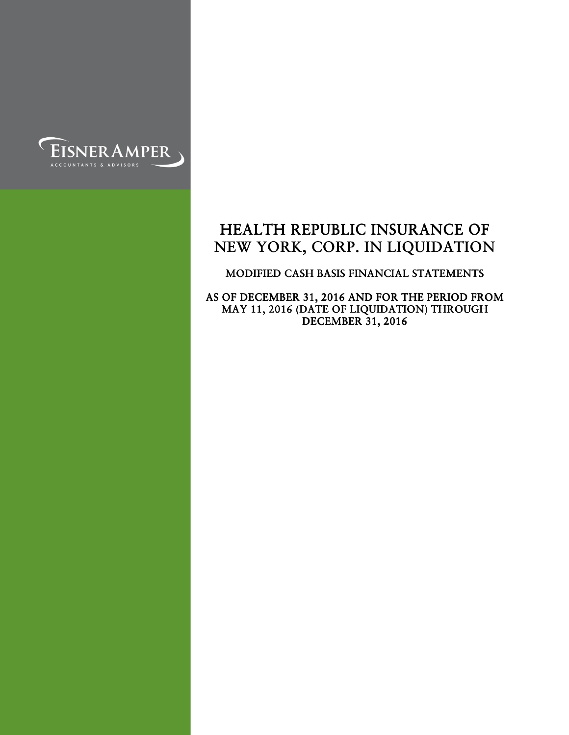

## MODIFIED CASH BASIS FINANCIAL STATEMENTS

AS OF DECEMBER 31, 2016 AND FOR THE PERIOD FROM MAY 11, 2016 (DATE OF LIQUIDATION) THROUGH DECEMBER 31, 2016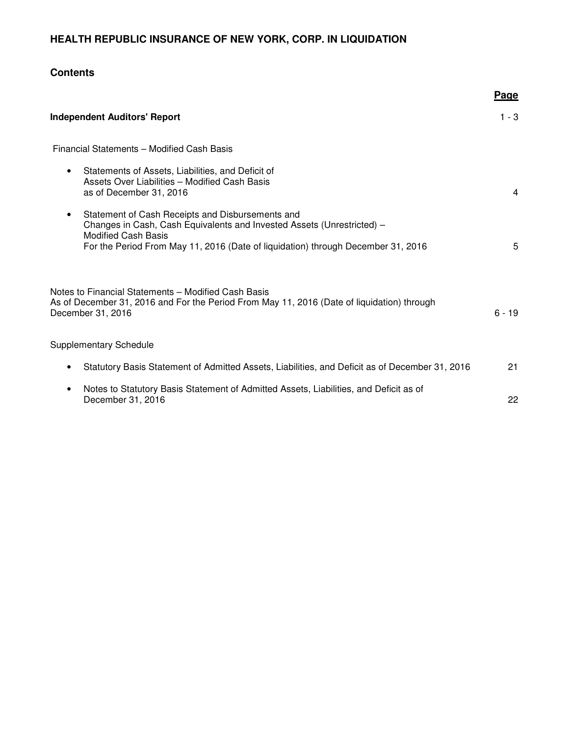## **Contents**

|                                                                                                                                                                        | <b>Page</b> |
|------------------------------------------------------------------------------------------------------------------------------------------------------------------------|-------------|
| <b>Independent Auditors' Report</b>                                                                                                                                    | $1 - 3$     |
| Financial Statements - Modified Cash Basis                                                                                                                             |             |
| Statements of Assets, Liabilities, and Deficit of<br>$\bullet$<br>Assets Over Liabilities - Modified Cash Basis<br>as of December 31, 2016                             | 4           |
| Statement of Cash Receipts and Disbursements and<br>Changes in Cash, Cash Equivalents and Invested Assets (Unrestricted) -<br><b>Modified Cash Basis</b>               |             |
| For the Period From May 11, 2016 (Date of liquidation) through December 31, 2016                                                                                       | 5           |
| Notes to Financial Statements - Modified Cash Basis<br>As of December 31, 2016 and For the Period From May 11, 2016 (Date of liquidation) through<br>December 31, 2016 | $6 - 19$    |
| <b>Supplementary Schedule</b>                                                                                                                                          |             |
| Statutory Basis Statement of Admitted Assets, Liabilities, and Deficit as of December 31, 2016                                                                         | 21          |
| Notes to Statutory Basis Statement of Admitted Assets, Liabilities, and Deficit as of<br>٠<br>December 31, 2016                                                        | 22          |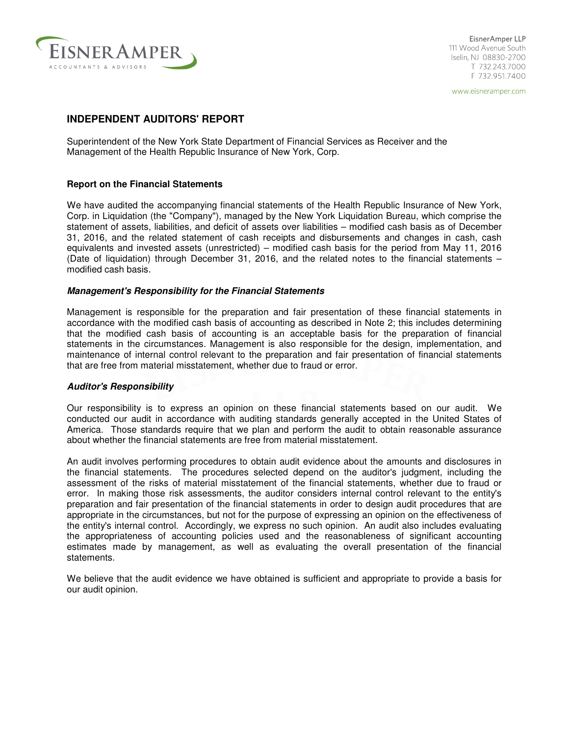

111 Wood Avenue South Iselin, NJ 08830-2700 T 732.243.7000 F 732.951.7400 EisnerAmper LLP

www.eisneramper.com

## **INDEPENDENT AUDITORS' REPORT**

Superintendent of the New York State Department of Financial Services as Receiver and the Management of the Health Republic Insurance of New York, Corp.

#### **Report on the Financial Statements**

We have audited the accompanying financial statements of the Health Republic Insurance of New York, Corp. in Liquidation (the "Company"), managed by the New York Liquidation Bureau, which comprise the statement of assets, liabilities, and deficit of assets over liabilities – modified cash basis as of December 31, 2016, and the related statement of cash receipts and disbursements and changes in cash, cash equivalents and invested assets (unrestricted) – modified cash basis for the period from May 11, 2016 (Date of liquidation) through December 31, 2016, and the related notes to the financial statements – modified cash basis.

#### **Management's Responsibility for the Financial Statements**

Management is responsible for the preparation and fair presentation of these financial statements in accordance with the modified cash basis of accounting as described in Note 2; this includes determining that the modified cash basis of accounting is an acceptable basis for the preparation of financial statements in the circumstances. Management is also responsible for the design, implementation, and maintenance of internal control relevant to the preparation and fair presentation of financial statements that are free from material misstatement, whether due to fraud or error.

#### **Auditor's Responsibility**

Our responsibility is to express an opinion on these financial statements based on our audit. We conducted our audit in accordance with auditing standards generally accepted in the United States of America. Those standards require that we plan and perform the audit to obtain reasonable assurance about whether the financial statements are free from material misstatement.

An audit involves performing procedures to obtain audit evidence about the amounts and disclosures in the financial statements. The procedures selected depend on the auditor's judgment, including the assessment of the risks of material misstatement of the financial statements, whether due to fraud or error. In making those risk assessments, the auditor considers internal control relevant to the entity's preparation and fair presentation of the financial statements in order to design audit procedures that are appropriate in the circumstances, but not for the purpose of expressing an opinion on the effectiveness of the entity's internal control. Accordingly, we express no such opinion. An audit also includes evaluating the appropriateness of accounting policies used and the reasonableness of significant accounting estimates made by management, as well as evaluating the overall presentation of the financial statements.

We believe that the audit evidence we have obtained is sufficient and appropriate to provide a basis for our audit opinion.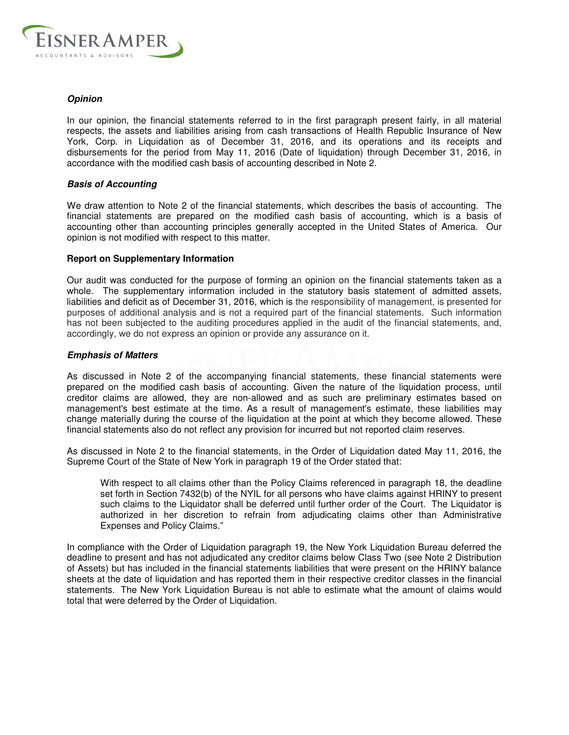

#### **Opinion**

In our opinion, the financial statements referred to in the first paragraph present fairly, in all material respects, the assets and liabilities arising from cash transactions of Health Republic Insurance of New York, Corp. in Liquidation as of December 31, 2016, and its operations and its receipts and disbursements for the period from May 11, 2016 (Date of liquidation) through December 31, 2016, in accordance with the modified cash basis of accounting described in Note 2.

#### **Basis of Accounting**

We draw attention to Note 2 of the financial statements, which describes the basis of accounting. The financial statements are prepared on the modified cash basis of accounting, which is a basis of accounting other than accounting principles generally accepted in the United States of America. Our opinion is not modified with respect to this matter.

#### **Report on Supplementary Information**

Our audit was conducted for the purpose of forming an opinion on the financial statements taken as a whole. The supplementary information included in the statutory basis statement of admitted assets, liabilities and deficit as of December 31, 2016, which is the responsibility of management, is presented for purposes of additional analysis and is not a required part of the financial statements. Such information has not been subjected to the auditing procedures applied in the audit of the financial statements, and, accordingly, we do not express an opinion or provide any assurance on it.

#### **Emphasis of Matters**

As discussed in Note 2 of the accompanying financial statements, these financial statements were prepared on the modified cash basis of accounting. Given the nature of the liquidation process, until creditor claims are allowed, they are non-allowed and as such are preliminary estimates based on management's best estimate at the time. As a result of management's estimate, these liabilities may change materially during the course of the liquidation at the point at which they become allowed. These financial statements also do not reflect any provision for incurred but not reported claim reserves.

As discussed in Note 2 to the financial statements, in the Order of Liquidation dated May 11, 2016, the Supreme Court of the State of New York in paragraph 19 of the Order stated that:

With respect to all claims other than the Policy Claims referenced in paragraph 18, the deadline set forth in Section 7432(b) of the NYIL for all persons who have claims against HRINY to present such claims to the Liquidator shall be deferred until further order of the Court. The Liquidator is authorized in her discretion to refrain from adjudicating claims other than Administrative Expenses and Policy Claims."

In compliance with the Order of Liquidation paragraph 19, the New York Liquidation Bureau deferred the deadline to present and has not adjudicated any creditor claims below Class Two (see Note 2 Distribution of Assets) but has included in the financial statements liabilities that were present on the HRINY balance sheets at the date of liquidation and has reported them in their respective creditor classes in the financial statements. The New York Liquidation Bureau is not able to estimate what the amount of claims would total that were deferred by the Order of Liquidation.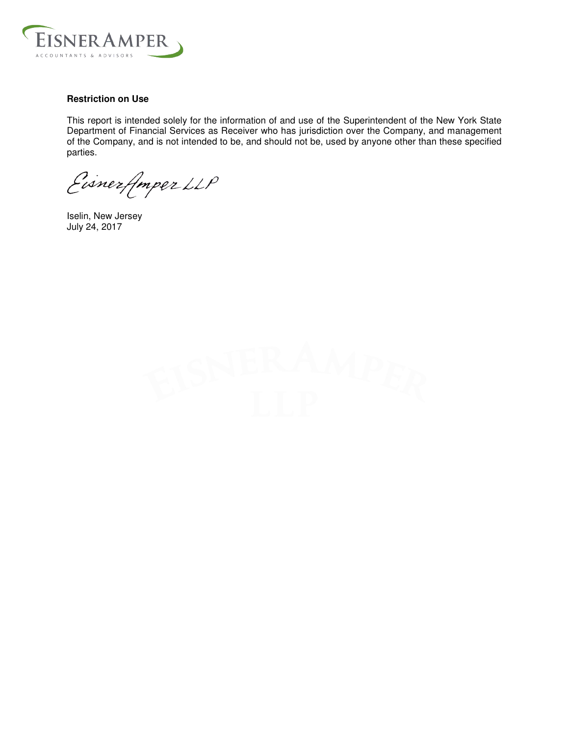

#### **Restriction on Use**

This report is intended solely for the information of and use of the Superintendent of the New York State Department of Financial Services as Receiver who has jurisdiction over the Company, and management of the Company, and is not intended to be, and should not be, used by anyone other than these specified parties.

Eisnerfmper LLP

Iselin, New Jersey July 24, 2017

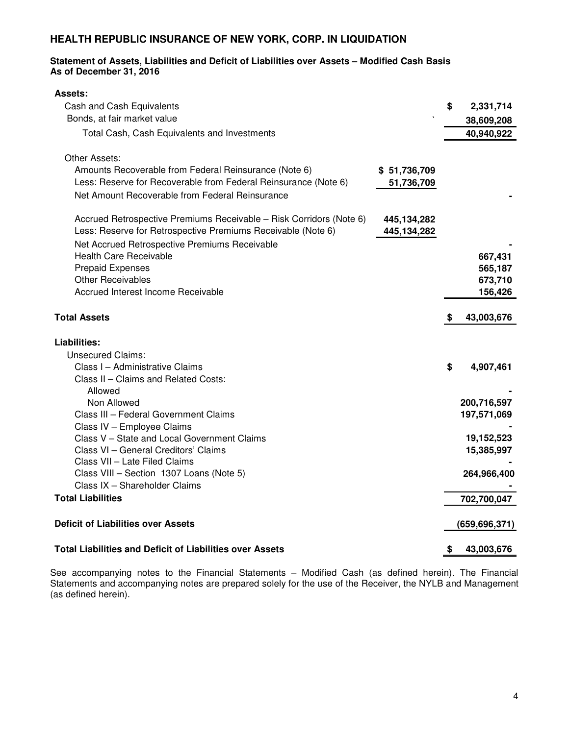### **Statement of Assets, Liabilities and Deficit of Liabilities over Assets – Modified Cash Basis As of December 31, 2016**

| <b>Assets:</b>                                                      |              |    |                 |
|---------------------------------------------------------------------|--------------|----|-----------------|
| Cash and Cash Equivalents                                           |              | \$ | 2,331,714       |
| Bonds, at fair market value                                         |              |    | 38,609,208      |
| Total Cash, Cash Equivalents and Investments                        |              |    | 40,940,922      |
|                                                                     |              |    |                 |
| <b>Other Assets:</b>                                                |              |    |                 |
| Amounts Recoverable from Federal Reinsurance (Note 6)               | \$51,736,709 |    |                 |
| Less: Reserve for Recoverable from Federal Reinsurance (Note 6)     | 51,736,709   |    |                 |
| Net Amount Recoverable from Federal Reinsurance                     |              |    |                 |
| Accrued Retrospective Premiums Receivable - Risk Corridors (Note 6) | 445,134,282  |    |                 |
| Less: Reserve for Retrospective Premiums Receivable (Note 6)        | 445,134,282  |    |                 |
| Net Accrued Retrospective Premiums Receivable                       |              |    |                 |
| <b>Health Care Receivable</b>                                       |              |    | 667,431         |
| <b>Prepaid Expenses</b>                                             |              |    | 565,187         |
| <b>Other Receivables</b>                                            |              |    | 673,710         |
| Accrued Interest Income Receivable                                  |              |    | 156,426         |
| <b>Total Assets</b>                                                 |              | S  | 43,003,676      |
| <b>Liabilities:</b>                                                 |              |    |                 |
| <b>Unsecured Claims:</b>                                            |              |    |                 |
| Class I - Administrative Claims                                     |              | \$ | 4,907,461       |
| Class II - Claims and Related Costs:                                |              |    |                 |
| Allowed                                                             |              |    |                 |
| Non Allowed                                                         |              |    | 200,716,597     |
| Class III - Federal Government Claims                               |              |    | 197,571,069     |
| Class IV - Employee Claims                                          |              |    |                 |
| Class V - State and Local Government Claims                         |              |    | 19,152,523      |
| Class VI - General Creditors' Claims                                |              |    | 15,385,997      |
| Class VII - Late Filed Claims                                       |              |    |                 |
| Class VIII - Section 1307 Loans (Note 5)                            |              |    | 264,966,400     |
| Class IX - Shareholder Claims                                       |              |    |                 |
| <b>Total Liabilities</b>                                            |              |    | 702,700,047     |
| <b>Deficit of Liabilities over Assets</b>                           |              |    | (659, 696, 371) |
| <b>Total Liabilities and Deficit of Liabilities over Assets</b>     |              | \$ | 43,003,676      |

See accompanying notes to the Financial Statements – Modified Cash (as defined herein). The Financial Statements and accompanying notes are prepared solely for the use of the Receiver, the NYLB and Management (as defined herein).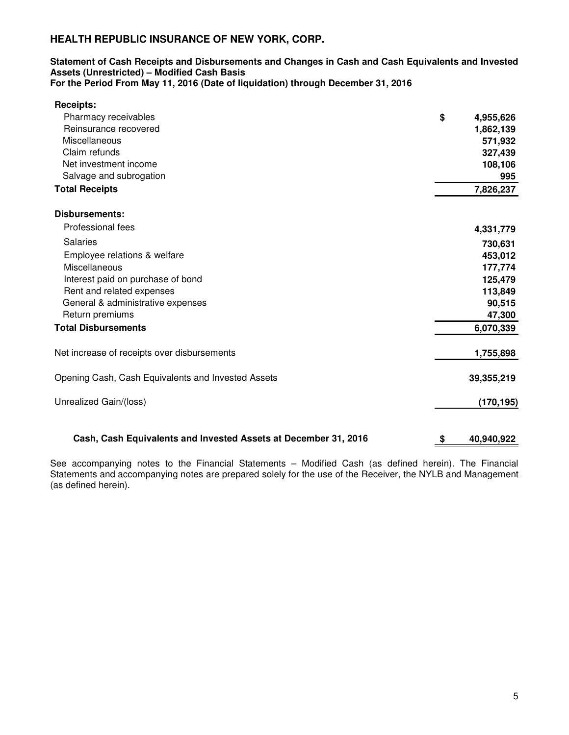## **HEALTH REPUBLIC INSURANCE OF NEW YORK, CORP.**

## **Statement of Cash Receipts and Disbursements and Changes in Cash and Cash Equivalents and Invested Assets (Unrestricted) – Modified Cash Basis**

**For the Period From May 11, 2016 (Date of liquidation) through December 31, 2016** 

| <b>Receipts:</b>                                                |                  |
|-----------------------------------------------------------------|------------------|
| Pharmacy receivables                                            | \$<br>4,955,626  |
| Reinsurance recovered                                           | 1,862,139        |
| Miscellaneous                                                   | 571,932          |
| Claim refunds                                                   | 327,439          |
| Net investment income                                           | 108,106          |
| Salvage and subrogation                                         | 995              |
| <b>Total Receipts</b>                                           | 7,826,237        |
| <b>Disbursements:</b>                                           |                  |
| Professional fees                                               | 4,331,779        |
| Salaries                                                        | 730,631          |
| Employee relations & welfare                                    | 453,012          |
| Miscellaneous                                                   | 177,774          |
| Interest paid on purchase of bond                               | 125,479          |
| Rent and related expenses                                       | 113,849          |
| General & administrative expenses                               | 90,515           |
| Return premiums                                                 | 47,300           |
| <b>Total Disbursements</b>                                      | 6,070,339        |
| Net increase of receipts over disbursements                     | 1,755,898        |
| Opening Cash, Cash Equivalents and Invested Assets              | 39,355,219       |
| Unrealized Gain/(loss)                                          | (170, 195)       |
| Cash, Cash Equivalents and Invested Assets at December 31, 2016 | \$<br>40,940,922 |

See accompanying notes to the Financial Statements – Modified Cash (as defined herein). The Financial Statements and accompanying notes are prepared solely for the use of the Receiver, the NYLB and Management (as defined herein).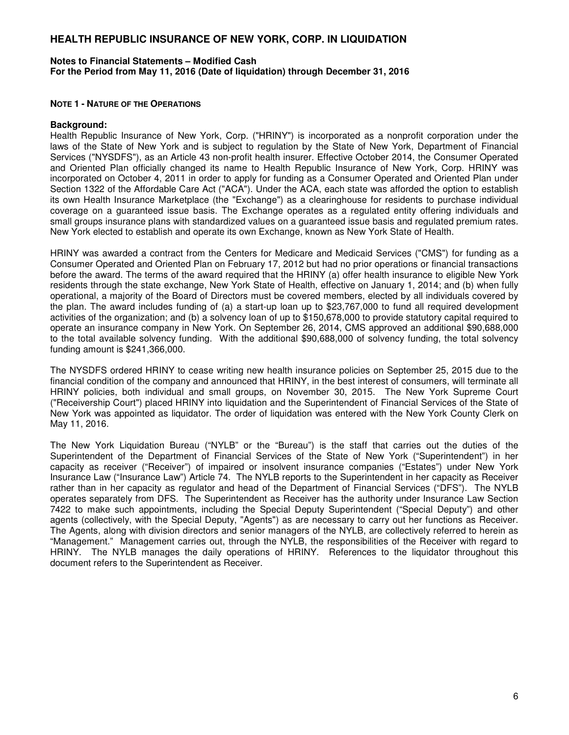#### **Notes to Financial Statements – Modified Cash For the Period from May 11, 2016 (Date of liquidation) through December 31, 2016**

#### **NOTE 1 - NATURE OF THE OPERATIONS**

#### **Background:**

Health Republic Insurance of New York, Corp. ("HRINY") is incorporated as a nonprofit corporation under the laws of the State of New York and is subject to regulation by the State of New York, Department of Financial Services ("NYSDFS"), as an Article 43 non-profit health insurer. Effective October 2014, the Consumer Operated and Oriented Plan officially changed its name to Health Republic Insurance of New York, Corp. HRINY was incorporated on October 4, 2011 in order to apply for funding as a Consumer Operated and Oriented Plan under Section 1322 of the Affordable Care Act ("ACA"). Under the ACA, each state was afforded the option to establish its own Health Insurance Marketplace (the "Exchange") as a clearinghouse for residents to purchase individual coverage on a guaranteed issue basis. The Exchange operates as a regulated entity offering individuals and small groups insurance plans with standardized values on a guaranteed issue basis and regulated premium rates. New York elected to establish and operate its own Exchange, known as New York State of Health.

HRINY was awarded a contract from the Centers for Medicare and Medicaid Services ("CMS") for funding as a Consumer Operated and Oriented Plan on February 17, 2012 but had no prior operations or financial transactions before the award. The terms of the award required that the HRINY (a) offer health insurance to eligible New York residents through the state exchange, New York State of Health, effective on January 1, 2014; and (b) when fully operational, a majority of the Board of Directors must be covered members, elected by all individuals covered by the plan. The award includes funding of (a) a start-up loan up to \$23,767,000 to fund all required development activities of the organization; and (b) a solvency loan of up to \$150,678,000 to provide statutory capital required to operate an insurance company in New York. On September 26, 2014, CMS approved an additional \$90,688,000 to the total available solvency funding. With the additional \$90,688,000 of solvency funding, the total solvency funding amount is \$241,366,000.

The NYSDFS ordered HRINY to cease writing new health insurance policies on September 25, 2015 due to the financial condition of the company and announced that HRINY, in the best interest of consumers, will terminate all HRINY policies, both individual and small groups, on November 30, 2015. The New York Supreme Court ("Receivership Court") placed HRINY into liquidation and the Superintendent of Financial Services of the State of New York was appointed as liquidator. The order of liquidation was entered with the New York County Clerk on May 11, 2016.

The New York Liquidation Bureau ("NYLB" or the "Bureau") is the staff that carries out the duties of the Superintendent of the Department of Financial Services of the State of New York ("Superintendent") in her capacity as receiver ("Receiver") of impaired or insolvent insurance companies ("Estates") under New York Insurance Law ("Insurance Law") Article 74. The NYLB reports to the Superintendent in her capacity as Receiver rather than in her capacity as regulator and head of the Department of Financial Services ("DFS"). The NYLB operates separately from DFS. The Superintendent as Receiver has the authority under Insurance Law Section 7422 to make such appointments, including the Special Deputy Superintendent ("Special Deputy") and other agents (collectively, with the Special Deputy, "Agents") as are necessary to carry out her functions as Receiver. The Agents, along with division directors and senior managers of the NYLB, are collectively referred to herein as "Management." Management carries out, through the NYLB, the responsibilities of the Receiver with regard to HRINY. The NYLB manages the daily operations of HRINY. References to the liquidator throughout this document refers to the Superintendent as Receiver.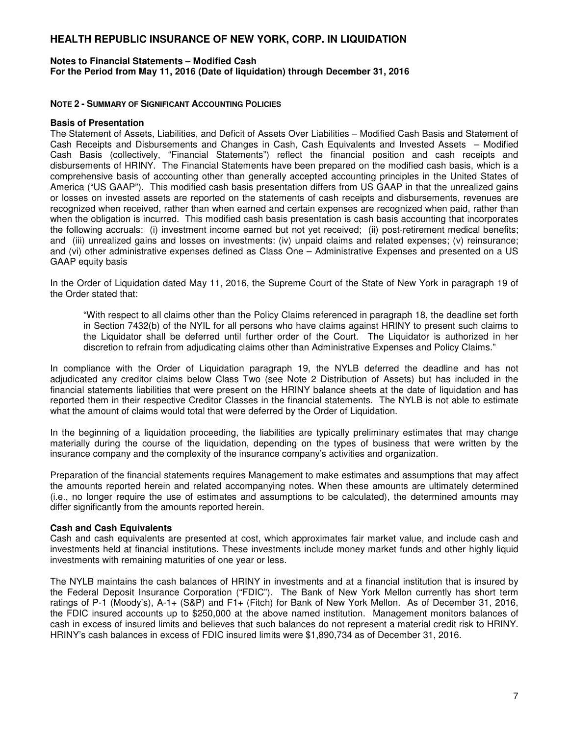#### **Notes to Financial Statements – Modified Cash For the Period from May 11, 2016 (Date of liquidation) through December 31, 2016**

#### **NOTE 2 - SUMMARY OF SIGNIFICANT ACCOUNTING POLICIES**

#### **Basis of Presentation**

The Statement of Assets, Liabilities, and Deficit of Assets Over Liabilities – Modified Cash Basis and Statement of Cash Receipts and Disbursements and Changes in Cash, Cash Equivalents and Invested Assets – Modified Cash Basis (collectively, "Financial Statements") reflect the financial position and cash receipts and disbursements of HRINY. The Financial Statements have been prepared on the modified cash basis, which is a comprehensive basis of accounting other than generally accepted accounting principles in the United States of America ("US GAAP"). This modified cash basis presentation differs from US GAAP in that the unrealized gains or losses on invested assets are reported on the statements of cash receipts and disbursements, revenues are recognized when received, rather than when earned and certain expenses are recognized when paid, rather than when the obligation is incurred. This modified cash basis presentation is cash basis accounting that incorporates the following accruals: (i) investment income earned but not yet received; (ii) post-retirement medical benefits; and (iii) unrealized gains and losses on investments: (iv) unpaid claims and related expenses; (v) reinsurance; and (vi) other administrative expenses defined as Class One – Administrative Expenses and presented on a US GAAP equity basis

In the Order of Liquidation dated May 11, 2016, the Supreme Court of the State of New York in paragraph 19 of the Order stated that:

"With respect to all claims other than the Policy Claims referenced in paragraph 18, the deadline set forth in Section 7432(b) of the NYIL for all persons who have claims against HRINY to present such claims to the Liquidator shall be deferred until further order of the Court. The Liquidator is authorized in her discretion to refrain from adjudicating claims other than Administrative Expenses and Policy Claims."

In compliance with the Order of Liquidation paragraph 19, the NYLB deferred the deadline and has not adjudicated any creditor claims below Class Two (see Note 2 Distribution of Assets) but has included in the financial statements liabilities that were present on the HRINY balance sheets at the date of liquidation and has reported them in their respective Creditor Classes in the financial statements. The NYLB is not able to estimate what the amount of claims would total that were deferred by the Order of Liquidation.

In the beginning of a liquidation proceeding, the liabilities are typically preliminary estimates that may change materially during the course of the liquidation, depending on the types of business that were written by the insurance company and the complexity of the insurance company's activities and organization.

Preparation of the financial statements requires Management to make estimates and assumptions that may affect the amounts reported herein and related accompanying notes. When these amounts are ultimately determined (i.e., no longer require the use of estimates and assumptions to be calculated), the determined amounts may differ significantly from the amounts reported herein.

#### **Cash and Cash Equivalents**

Cash and cash equivalents are presented at cost, which approximates fair market value, and include cash and investments held at financial institutions. These investments include money market funds and other highly liquid investments with remaining maturities of one year or less.

The NYLB maintains the cash balances of HRINY in investments and at a financial institution that is insured by the Federal Deposit Insurance Corporation ("FDIC"). The Bank of New York Mellon currently has short term ratings of P-1 (Moody's), A-1+ (S&P) and F1+ (Fitch) for Bank of New York Mellon. As of December 31, 2016, the FDIC insured accounts up to \$250,000 at the above named institution. Management monitors balances of cash in excess of insured limits and believes that such balances do not represent a material credit risk to HRINY. HRINY's cash balances in excess of FDIC insured limits were \$1,890,734 as of December 31, 2016.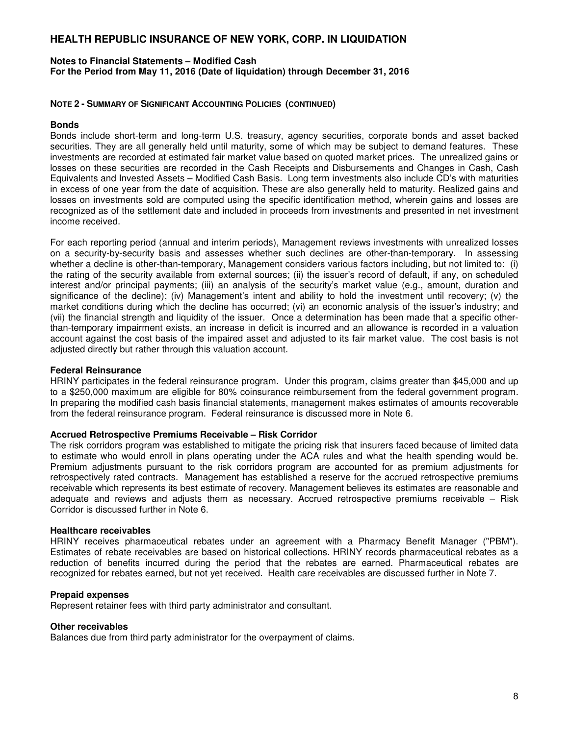#### **Notes to Financial Statements – Modified Cash For the Period from May 11, 2016 (Date of liquidation) through December 31, 2016**

#### **NOTE 2 - SUMMARY OF SIGNIFICANT ACCOUNTING POLICIES (CONTINUED)**

#### **Bonds**

Bonds include short-term and long-term U.S. treasury, agency securities, corporate bonds and asset backed securities. They are all generally held until maturity, some of which may be subject to demand features. These investments are recorded at estimated fair market value based on quoted market prices. The unrealized gains or losses on these securities are recorded in the Cash Receipts and Disbursements and Changes in Cash, Cash Equivalents and Invested Assets – Modified Cash Basis. Long term investments also include CD's with maturities in excess of one year from the date of acquisition. These are also generally held to maturity. Realized gains and losses on investments sold are computed using the specific identification method, wherein gains and losses are recognized as of the settlement date and included in proceeds from investments and presented in net investment income received.

For each reporting period (annual and interim periods), Management reviews investments with unrealized losses on a security-by-security basis and assesses whether such declines are other-than-temporary. In assessing whether a decline is other-than-temporary, Management considers various factors including, but not limited to: (i) the rating of the security available from external sources; (ii) the issuer's record of default, if any, on scheduled interest and/or principal payments; (iii) an analysis of the security's market value (e.g., amount, duration and significance of the decline); (iv) Management's intent and ability to hold the investment until recovery; (v) the market conditions during which the decline has occurred; (vi) an economic analysis of the issuer's industry; and (vii) the financial strength and liquidity of the issuer. Once a determination has been made that a specific otherthan-temporary impairment exists, an increase in deficit is incurred and an allowance is recorded in a valuation account against the cost basis of the impaired asset and adjusted to its fair market value. The cost basis is not adjusted directly but rather through this valuation account.

#### **Federal Reinsurance**

HRINY participates in the federal reinsurance program. Under this program, claims greater than \$45,000 and up to a \$250,000 maximum are eligible for 80% coinsurance reimbursement from the federal government program. In preparing the modified cash basis financial statements, management makes estimates of amounts recoverable from the federal reinsurance program. Federal reinsurance is discussed more in Note 6.

#### **Accrued Retrospective Premiums Receivable – Risk Corridor**

The risk corridors program was established to mitigate the pricing risk that insurers faced because of limited data to estimate who would enroll in plans operating under the ACA rules and what the health spending would be. Premium adjustments pursuant to the risk corridors program are accounted for as premium adjustments for retrospectively rated contracts. Management has established a reserve for the accrued retrospective premiums receivable which represents its best estimate of recovery. Management believes its estimates are reasonable and adequate and reviews and adjusts them as necessary. Accrued retrospective premiums receivable – Risk Corridor is discussed further in Note 6.

#### **Healthcare receivables**

HRINY receives pharmaceutical rebates under an agreement with a Pharmacy Benefit Manager ("PBM"). Estimates of rebate receivables are based on historical collections. HRINY records pharmaceutical rebates as a reduction of benefits incurred during the period that the rebates are earned. Pharmaceutical rebates are recognized for rebates earned, but not yet received. Health care receivables are discussed further in Note 7.

#### **Prepaid expenses**

Represent retainer fees with third party administrator and consultant.

#### **Other receivables**

Balances due from third party administrator for the overpayment of claims.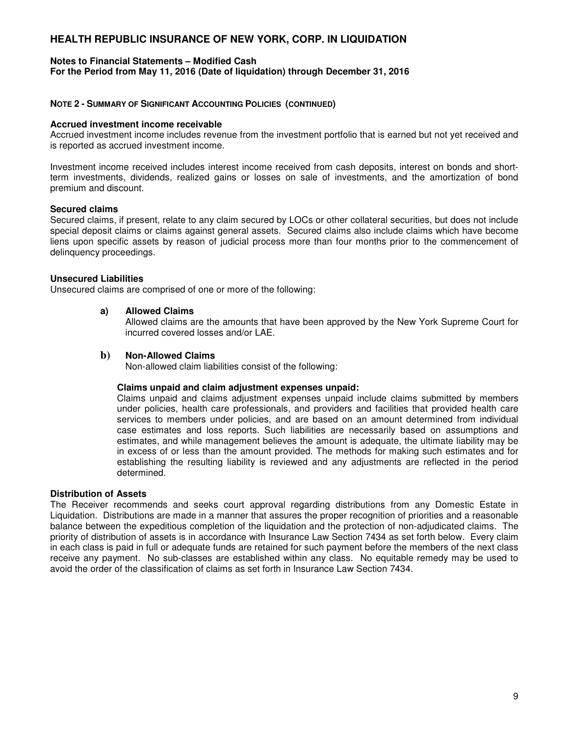#### **Notes to Financial Statements – Modified Cash**

**For the Period from May 11, 2016 (Date of liquidation) through December 31, 2016** 

#### **NOTE 2 - SUMMARY OF SIGNIFICANT ACCOUNTING POLICIES (CONTINUED)**

#### **Accrued investment income receivable**

Accrued investment income includes revenue from the investment portfolio that is earned but not yet received and is reported as accrued investment income.

Investment income received includes interest income received from cash deposits, interest on bonds and shortterm investments, dividends, realized gains or losses on sale of investments, and the amortization of bond premium and discount.

#### **Secured claims**

Secured claims, if present, relate to any claim secured by LOCs or other collateral securities, but does not include special deposit claims or claims against general assets. Secured claims also include claims which have become liens upon specific assets by reason of judicial process more than four months prior to the commencement of delinquency proceedings.

#### **Unsecured Liabilities**

Unsecured claims are comprised of one or more of the following:

#### **a) Allowed Claims**

Allowed claims are the amounts that have been approved by the New York Supreme Court for incurred covered losses and/or LAE.

#### **b) Non-Allowed Claims**

Non-allowed claim liabilities consist of the following:

#### **Claims unpaid and claim adjustment expenses unpaid:**

Claims unpaid and claims adjustment expenses unpaid include claims submitted by members under policies, health care professionals, and providers and facilities that provided health care services to members under policies, and are based on an amount determined from individual case estimates and loss reports. Such liabilities are necessarily based on assumptions and estimates, and while management believes the amount is adequate, the ultimate liability may be in excess of or less than the amount provided. The methods for making such estimates and for establishing the resulting liability is reviewed and any adjustments are reflected in the period determined.

#### **Distribution of Assets**

The Receiver recommends and seeks court approval regarding distributions from any Domestic Estate in Liquidation. Distributions are made in a manner that assures the proper recognition of priorities and a reasonable balance between the expeditious completion of the liquidation and the protection of non-adjudicated claims. The priority of distribution of assets is in accordance with Insurance Law Section 7434 as set forth below. Every claim in each class is paid in full or adequate funds are retained for such payment before the members of the next class receive any payment. No sub-classes are established within any class. No equitable remedy may be used to avoid the order of the classification of claims as set forth in Insurance Law Section 7434.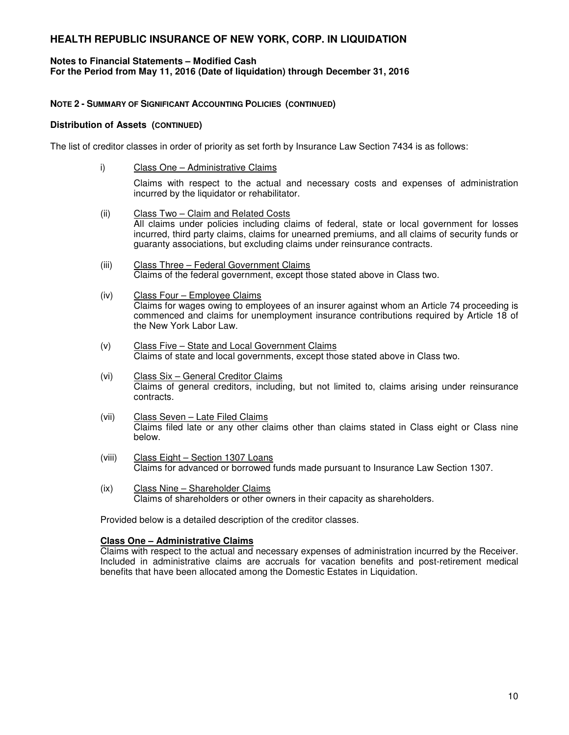#### **Notes to Financial Statements – Modified Cash For the Period from May 11, 2016 (Date of liquidation) through December 31, 2016**

#### **NOTE 2 - SUMMARY OF SIGNIFICANT ACCOUNTING POLICIES (CONTINUED)**

#### **Distribution of Assets (CONTINUED)**

The list of creditor classes in order of priority as set forth by Insurance Law Section 7434 is as follows:

i)Class One – Administrative Claims

Claims with respect to the actual and necessary costs and expenses of administration incurred by the liquidator or rehabilitator.

- (ii)Class Two Claim and Related Costs All claims under policies including claims of federal, state or local government for losses incurred, third party claims, claims for unearned premiums, and all claims of security funds or guaranty associations, but excluding claims under reinsurance contracts.
- (iii)Class Three Federal Government Claims Claims of the federal government, except those stated above in Class two.
- (iv)Class Four Employee Claims Claims for wages owing to employees of an insurer against whom an Article 74 proceeding is commenced and claims for unemployment insurance contributions required by Article 18 of the New York Labor Law.
- (v)Class Five State and Local Government Claims Claims of state and local governments, except those stated above in Class two.
- (vi)Class Six General Creditor Claims Claims of general creditors, including, but not limited to, claims arising under reinsurance contracts.
- (vii) Class Seven Late Filed Claims Claims filed late or any other claims other than claims stated in Class eight or Class nine below.
- (viii) Class Eight Section 1307 Loans Claims for advanced or borrowed funds made pursuant to Insurance Law Section 1307.
- (ix)Class Nine Shareholder Claims Claims of shareholders or other owners in their capacity as shareholders.

Provided below is a detailed description of the creditor classes.

#### **Class One – Administrative Claims**

Claims with respect to the actual and necessary expenses of administration incurred by the Receiver. Included in administrative claims are accruals for vacation benefits and post-retirement medical benefits that have been allocated among the Domestic Estates in Liquidation.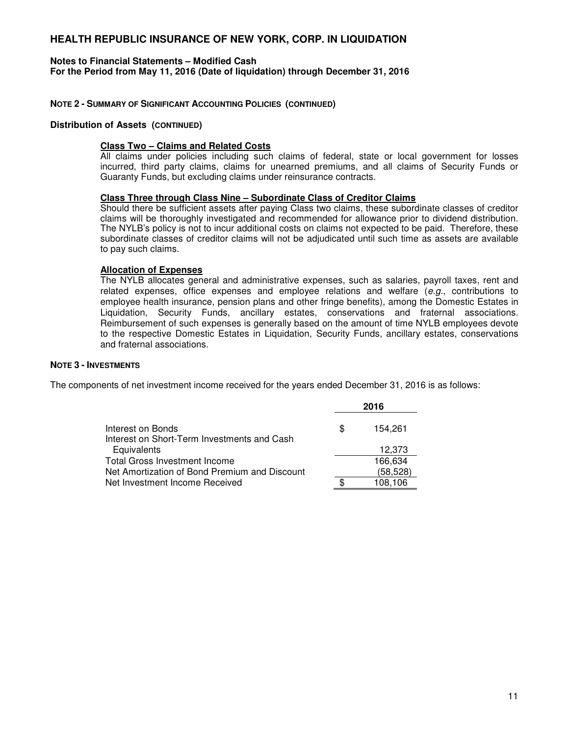#### **Notes to Financial Statements – Modified Cash For the Period from May 11, 2016 (Date of liquidation) through December 31, 2016**

#### **NOTE 2 - SUMMARY OF SIGNIFICANT ACCOUNTING POLICIES (CONTINUED)**

#### **Distribution of Assets (CONTINUED)**

#### **Class Two – Claims and Related Costs**

All claims under policies including such claims of federal, state or local government for losses incurred, third party claims, claims for unearned premiums, and all claims of Security Funds or Guaranty Funds, but excluding claims under reinsurance contracts.

#### **Class Three through Class Nine – Subordinate Class of Creditor Claims**

Should there be sufficient assets after paying Class two claims, these subordinate classes of creditor claims will be thoroughly investigated and recommended for allowance prior to dividend distribution. The NYLB's policy is not to incur additional costs on claims not expected to be paid. Therefore, these subordinate classes of creditor claims will not be adjudicated until such time as assets are available to pay such claims.

#### **Allocation of Expenses**

The NYLB allocates general and administrative expenses, such as salaries, payroll taxes, rent and related expenses, office expenses and employee relations and welfare  $(e.g.,$  contributions to employee health insurance, pension plans and other fringe benefits), among the Domestic Estates in Liquidation, Security Funds, ancillary estates, conservations and fraternal associations. Reimbursement of such expenses is generally based on the amount of time NYLB employees devote to the respective Domestic Estates in Liquidation, Security Funds, ancillary estates, conservations and fraternal associations.

#### **NOTE 3 - INVESTMENTS**

The components of net investment income received for the years ended December 31, 2016 is as follows:

|                                               | 2016          |
|-----------------------------------------------|---------------|
| Interest on Bonds                             | \$<br>154.261 |
| Interest on Short-Term Investments and Cash   |               |
| Equivalents                                   | 12,373        |
| <b>Total Gross Investment Income</b>          | 166,634       |
| Net Amortization of Bond Premium and Discount | (58, 528)     |
| Net Investment Income Received                | 108,106       |
|                                               |               |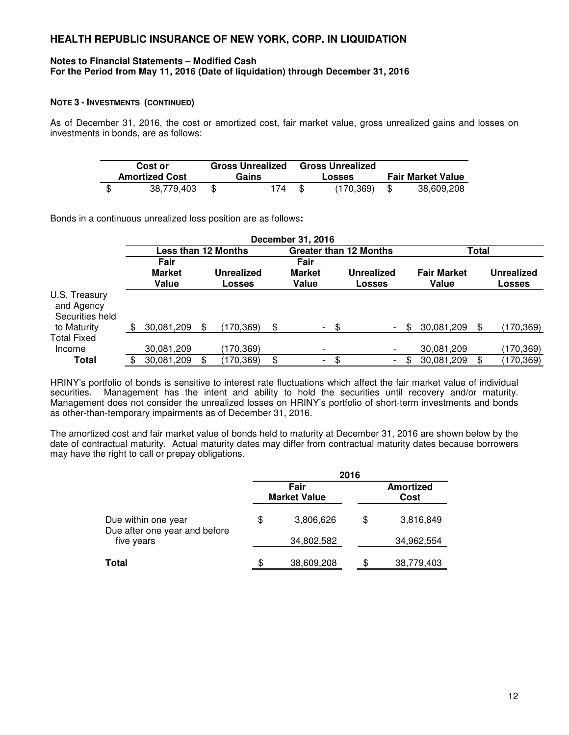#### **Notes to Financial Statements – Modified Cash For the Period from May 11, 2016 (Date of liquidation) through December 31, 2016**

#### **NOTE 3 - INVESTMENTS (CONTINUED)**

As of December 31, 2016, the cost or amortized cost, fair market value, gross unrealized gains and losses on investments in bonds, are as follows:

| Cost or<br><b>Amortized Cost</b> |            | <b>Gross Unrealized</b><br>Gains | <b>Gross Unrealized</b><br><b>Losses</b> | <b>Fair Market Value</b> |            |  |
|----------------------------------|------------|----------------------------------|------------------------------------------|--------------------------|------------|--|
|                                  | 38.779.403 | 174                              | (170, 369)                               |                          | 38,609,208 |  |

Bonds in a continuous unrealized loss position are as follows**:** 

|                                                | December 31, 2016 |                                |     |                             |    |                                |      |                             |    |                             |     |                             |
|------------------------------------------------|-------------------|--------------------------------|-----|-----------------------------|----|--------------------------------|------|-----------------------------|----|-----------------------------|-----|-----------------------------|
|                                                |                   | <b>Less than 12 Months</b>     |     |                             |    | <b>Greater than 12 Months</b>  |      |                             |    | Total                       |     |                             |
|                                                |                   | Fair<br><b>Market</b><br>Value |     | Unrealized<br><b>Losses</b> |    | Fair<br><b>Market</b><br>Value |      | Unrealized<br><b>Losses</b> |    | <b>Fair Market</b><br>Value |     | Unrealized<br><b>Losses</b> |
| U.S. Treasury<br>and Agency<br>Securities held |                   |                                |     |                             |    |                                |      |                             |    |                             |     |                             |
| to Maturity                                    |                   | 30,081,209                     | \$. | (170,369)                   | \$ | $\overline{\phantom{0}}$       | - \$ | Ξ.                          | \$ | 30,081,209                  | \$. | (170,369)                   |
| Total Fixed                                    |                   |                                |     |                             |    |                                |      |                             |    |                             |     |                             |
| Income                                         |                   | 30,081,209                     |     | (170,369)                   |    | $\overline{\phantom{a}}$       |      | -                           |    | 30,081,209                  |     | (170,369)                   |
| Total                                          | S                 | 30,081,209                     |     | (170,369)                   | \$ | -                              | \$   | $\overline{\phantom{a}}$    | \$ | 30,081,209                  |     | (170,369)                   |

HRINY's portfolio of bonds is sensitive to interest rate fluctuations which affect the fair market value of individual securities. Management has the intent and ability to hold the securities until recovery and/or maturity Management has the intent and ability to hold the securities until recovery and/or maturity. Management does not consider the unrealized losses on HRINY's portfolio of short-term investments and bonds as other-than-temporary impairments as of December 31, 2016.

The amortized cost and fair market value of bonds held to maturity at December 31, 2016 are shown below by the date of contractual maturity. Actual maturity dates may differ from contractual maturity dates because borrowers may have the right to call or prepay obligations.

|                                             | 2016 |                             |    |                          |  |  |  |
|---------------------------------------------|------|-----------------------------|----|--------------------------|--|--|--|
|                                             |      | Fair<br><b>Market Value</b> |    | <b>Amortized</b><br>Cost |  |  |  |
| Due within one year                         | \$   | 3,806,626                   | \$ | 3,816,849                |  |  |  |
| Due after one year and before<br>five years |      | 34,802,582                  |    | 34,962,554               |  |  |  |
| <b>Total</b>                                | \$.  | 38,609,208                  | ß. | 38,779,403               |  |  |  |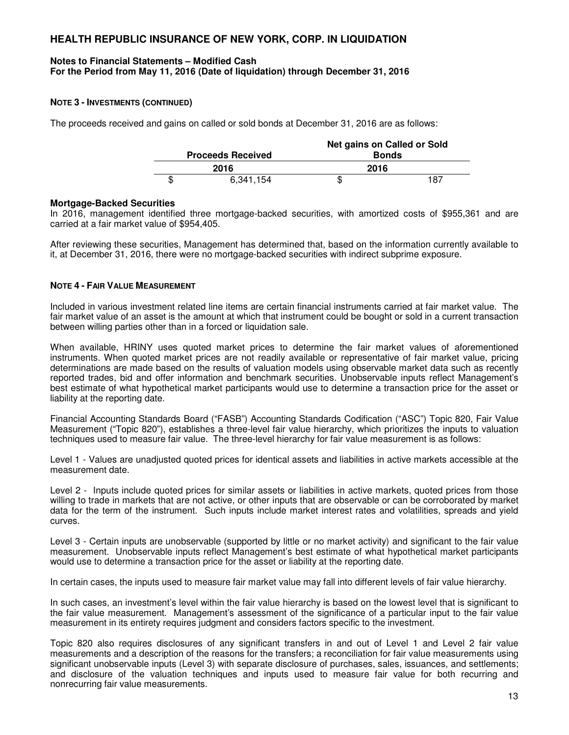#### **Notes to Financial Statements – Modified Cash For the Period from May 11, 2016 (Date of liquidation) through December 31, 2016**

#### **NOTE 3 - INVESTMENTS (CONTINUED)**

The proceeds received and gains on called or sold bonds at December 31, 2016 are as follows:

|                          |      | Net gains on Called or Sold |
|--------------------------|------|-----------------------------|
| <b>Proceeds Received</b> |      | <b>Bonds</b>                |
| 2016                     | 2016 |                             |
| 6.341.154                | S    | 187                         |

#### **Mortgage-Backed Securities**

In 2016, management identified three mortgage-backed securities, with amortized costs of \$955,361 and are carried at a fair market value of \$954,405.

After reviewing these securities, Management has determined that, based on the information currently available to it, at December 31, 2016, there were no mortgage-backed securities with indirect subprime exposure.

#### **NOTE 4 - FAIR VALUE MEASUREMENT**

Included in various investment related line items are certain financial instruments carried at fair market value. The fair market value of an asset is the amount at which that instrument could be bought or sold in a current transaction between willing parties other than in a forced or liquidation sale.

When available, HRINY uses quoted market prices to determine the fair market values of aforementioned instruments. When quoted market prices are not readily available or representative of fair market value, pricing determinations are made based on the results of valuation models using observable market data such as recently reported trades, bid and offer information and benchmark securities. Unobservable inputs reflect Management's best estimate of what hypothetical market participants would use to determine a transaction price for the asset or liability at the reporting date.

Financial Accounting Standards Board ("FASB") Accounting Standards Codification ("ASC") Topic 820, Fair Value Measurement ("Topic 820"), establishes a three-level fair value hierarchy, which prioritizes the inputs to valuation techniques used to measure fair value. The three-level hierarchy for fair value measurement is as follows:

Level 1 - Values are unadjusted quoted prices for identical assets and liabilities in active markets accessible at the measurement date.

Level 2 - Inputs include quoted prices for similar assets or liabilities in active markets, quoted prices from those willing to trade in markets that are not active, or other inputs that are observable or can be corroborated by market data for the term of the instrument. Such inputs include market interest rates and volatilities, spreads and yield curves.

Level 3 - Certain inputs are unobservable (supported by little or no market activity) and significant to the fair value measurement. Unobservable inputs reflect Management's best estimate of what hypothetical market participants would use to determine a transaction price for the asset or liability at the reporting date.

In certain cases, the inputs used to measure fair market value may fall into different levels of fair value hierarchy.

In such cases, an investment's level within the fair value hierarchy is based on the lowest level that is significant to the fair value measurement. Management's assessment of the significance of a particular input to the fair value measurement in its entirety requires judgment and considers factors specific to the investment.

Topic 820 also requires disclosures of any significant transfers in and out of Level 1 and Level 2 fair value measurements and a description of the reasons for the transfers; a reconciliation for fair value measurements using significant unobservable inputs (Level 3) with separate disclosure of purchases, sales, issuances, and settlements; and disclosure of the valuation techniques and inputs used to measure fair value for both recurring and nonrecurring fair value measurements.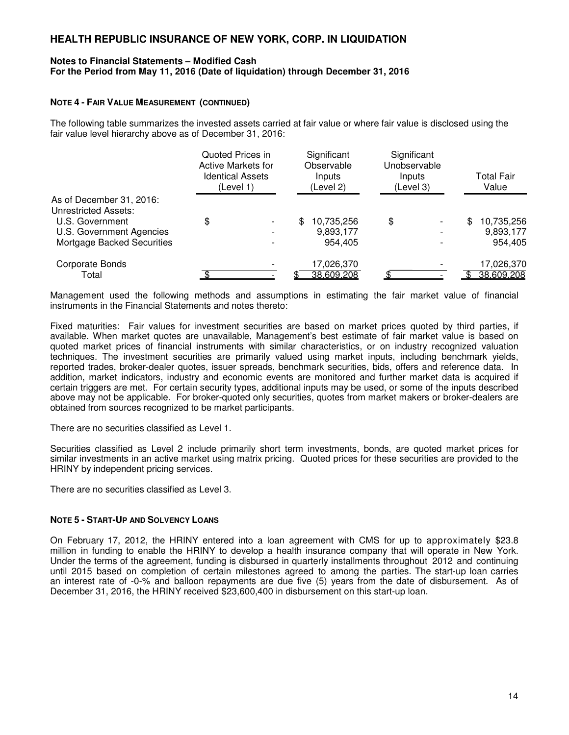#### **Notes to Financial Statements – Modified Cash For the Period from May 11, 2016 (Date of liquidation) through December 31, 2016**

#### **NOTE 4 - FAIR VALUE MEASUREMENT (CONTINUED)**

The following table summarizes the invested assets carried at fair value or where fair value is disclosed using the fair value level hierarchy above as of December 31, 2016:

|                                                         | Quoted Prices in<br>Active Markets for<br><b>Identical Assets</b><br>(Level 1) |  | Significant<br>Observable<br>Inputs<br>(Level 2) |            | Significant<br>Unobservable<br>Inputs<br>(Level 3) |  | Total Fair<br>Value |
|---------------------------------------------------------|--------------------------------------------------------------------------------|--|--------------------------------------------------|------------|----------------------------------------------------|--|---------------------|
| As of December 31, 2016:<br><b>Unrestricted Assets:</b> |                                                                                |  |                                                  |            |                                                    |  |                     |
| U.S. Government                                         | \$                                                                             |  | \$                                               | 10,735,256 | \$                                                 |  | \$<br>10,735,256    |
| U.S. Government Agencies                                |                                                                                |  |                                                  | 9,893,177  |                                                    |  | 9,893,177           |
| Mortgage Backed Securities                              |                                                                                |  |                                                  | 954.405    |                                                    |  | 954,405             |
| Corporate Bonds                                         |                                                                                |  |                                                  | 17,026,370 |                                                    |  | 17,026,370          |
| Total                                                   |                                                                                |  |                                                  | 38,609,208 |                                                    |  | 38,609,208          |

Management used the following methods and assumptions in estimating the fair market value of financial instruments in the Financial Statements and notes thereto:

Fixed maturities: Fair values for investment securities are based on market prices quoted by third parties, if available. When market quotes are unavailable, Management's best estimate of fair market value is based on quoted market prices of financial instruments with similar characteristics, or on industry recognized valuation techniques. The investment securities are primarily valued using market inputs, including benchmark yields, reported trades, broker-dealer quotes, issuer spreads, benchmark securities, bids, offers and reference data. In addition, market indicators, industry and economic events are monitored and further market data is acquired if certain triggers are met. For certain security types, additional inputs may be used, or some of the inputs described above may not be applicable. For broker-quoted only securities, quotes from market makers or broker-dealers are obtained from sources recognized to be market participants.

There are no securities classified as Level 1.

Securities classified as Level 2 include primarily short term investments, bonds, are quoted market prices for similar investments in an active market using matrix pricing. Quoted prices for these securities are provided to the HRINY by independent pricing services.

There are no securities classified as Level 3.

#### **NOTE 5 - START-UP AND SOLVENCY LOANS**

On February 17, 2012, the HRINY entered into a loan agreement with CMS for up to approximately \$23.8 million in funding to enable the HRINY to develop a health insurance company that will operate in New York. Under the terms of the agreement, funding is disbursed in quarterly installments throughout 2012 and continuing until 2015 based on completion of certain milestones agreed to among the parties. The start-up loan carries an interest rate of -0-% and balloon repayments are due five (5) years from the date of disbursement. As of December 31, 2016, the HRINY received \$23,600,400 in disbursement on this start-up loan.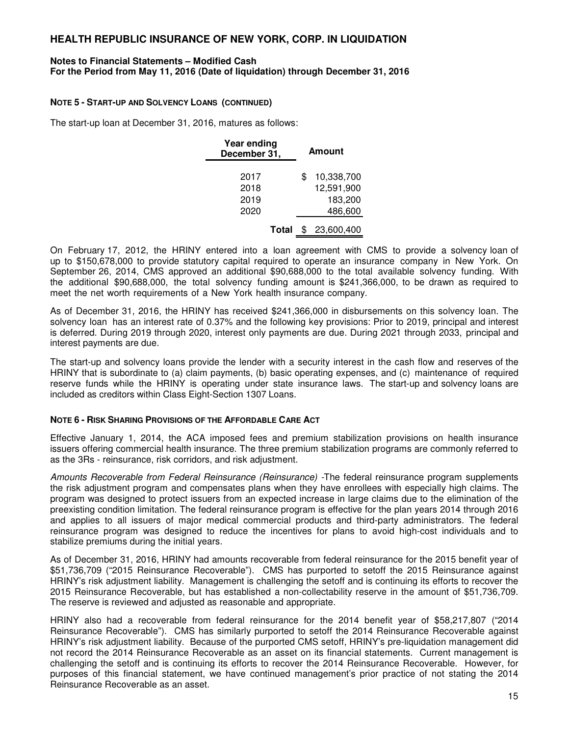#### **Notes to Financial Statements – Modified Cash For the Period from May 11, 2016 (Date of liquidation) through December 31, 2016**

#### **NOTE 5 - START-UP AND SOLVENCY LOANS (CONTINUED)**

The start-up loan at December 31, 2016, matures as follows:

| Year ending<br>December 31, |       | <b>Amount</b> |              |  |  |
|-----------------------------|-------|---------------|--------------|--|--|
| 2017                        |       | \$            | 10,338,700   |  |  |
| 2018                        |       |               | 12,591,900   |  |  |
| 2019                        |       |               | 183,200      |  |  |
| 2020                        |       |               | 486,600      |  |  |
|                             | Total |               | \$23,600,400 |  |  |

On February 17, 2012, the HRINY entered into a loan agreement with CMS to provide a solvency loan of up to \$150,678,000 to provide statutory capital required to operate an insurance company in New York. On September 26, 2014, CMS approved an additional \$90,688,000 to the total available solvency funding. With the additional \$90,688,000, the total solvency funding amount is \$241,366,000, to be drawn as required to meet the net worth requirements of a New York health insurance company.

As of December 31, 2016, the HRINY has received \$241,366,000 in disbursements on this solvency loan. The solvency loan has an interest rate of 0.37% and the following key provisions: Prior to 2019, principal and interest is deferred. During 2019 through 2020, interest only payments are due. During 2021 through 2033, principal and interest payments are due.

The start-up and solvency loans provide the lender with a security interest in the cash flow and reserves of the HRINY that is subordinate to (a) claim payments, (b) basic operating expenses, and (c) maintenance of required reserve funds while the HRINY is operating under state insurance laws. The start-up and solvency loans are included as creditors within Class Eight-Section 1307 Loans.

#### **NOTE 6 - RISK SHARING PROVISIONS OF THE AFFORDABLE CARE ACT**

Effective January 1, 2014, the ACA imposed fees and premium stabilization provisions on health insurance issuers offering commercial health insurance. The three premium stabilization programs are commonly referred to as the 3Rs - reinsurance, risk corridors, and risk adjustment.

Amounts Recoverable from Federal Reinsurance (Reinsurance) -The federal reinsurance program supplements the risk adjustment program and compensates plans when they have enrollees with especially high claims. The program was designed to protect issuers from an expected increase in large claims due to the elimination of the preexisting condition limitation. The federal reinsurance program is effective for the plan years 2014 through 2016 and applies to all issuers of major medical commercial products and third-party administrators. The federal reinsurance program was designed to reduce the incentives for plans to avoid high-cost individuals and to stabilize premiums during the initial years.

As of December 31, 2016, HRINY had amounts recoverable from federal reinsurance for the 2015 benefit year of \$51,736,709 ("2015 Reinsurance Recoverable"). CMS has purported to setoff the 2015 Reinsurance against HRINY's risk adjustment liability. Management is challenging the setoff and is continuing its efforts to recover the 2015 Reinsurance Recoverable, but has established a non-collectability reserve in the amount of \$51,736,709. The reserve is reviewed and adjusted as reasonable and appropriate.

HRINY also had a recoverable from federal reinsurance for the 2014 benefit year of \$58,217,807 ("2014 Reinsurance Recoverable"). CMS has similarly purported to setoff the 2014 Reinsurance Recoverable against HRINY's risk adjustment liability. Because of the purported CMS setoff, HRINY's pre-liquidation management did not record the 2014 Reinsurance Recoverable as an asset on its financial statements. Current management is challenging the setoff and is continuing its efforts to recover the 2014 Reinsurance Recoverable. However, for purposes of this financial statement, we have continued management's prior practice of not stating the 2014 Reinsurance Recoverable as an asset.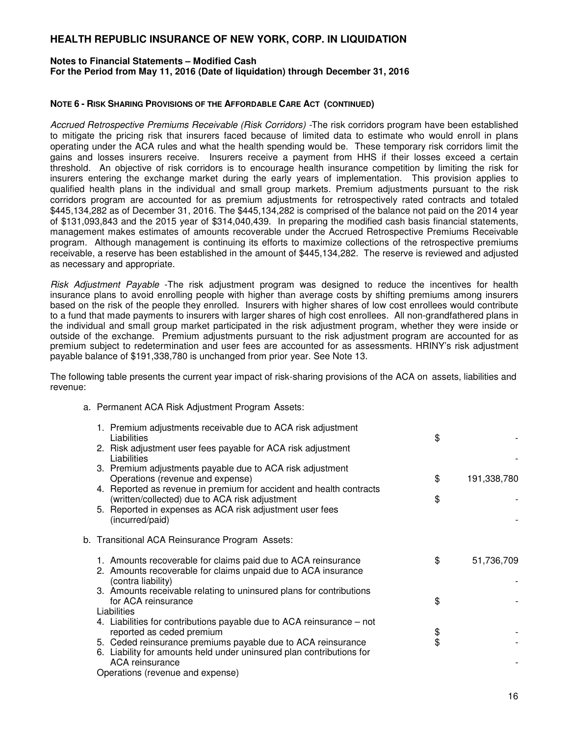#### **Notes to Financial Statements – Modified Cash For the Period from May 11, 2016 (Date of liquidation) through December 31, 2016**

#### **NOTE 6 - RISK SHARING PROVISIONS OF THE AFFORDABLE CARE ACT (CONTINUED)**

Accrued Retrospective Premiums Receivable (Risk Corridors) -The risk corridors program have been established to mitigate the pricing risk that insurers faced because of limited data to estimate who would enroll in plans operating under the ACA rules and what the health spending would be. These temporary risk corridors limit the gains and losses insurers receive. Insurers receive a payment from HHS if their losses exceed a certain threshold. An objective of risk corridors is to encourage health insurance competition by limiting the risk for insurers entering the exchange market during the early years of implementation. This provision applies to qualified health plans in the individual and small group markets. Premium adjustments pursuant to the risk corridors program are accounted for as premium adjustments for retrospectively rated contracts and totaled \$445,134,282 as of December 31, 2016. The \$445,134,282 is comprised of the balance not paid on the 2014 year of \$131,093,843 and the 2015 year of \$314,040,439. In preparing the modified cash basis financial statements, management makes estimates of amounts recoverable under the Accrued Retrospective Premiums Receivable program. Although management is continuing its efforts to maximize collections of the retrospective premiums receivable, a reserve has been established in the amount of \$445,134,282. The reserve is reviewed and adjusted as necessary and appropriate.

Risk Adjustment Payable -The risk adjustment program was designed to reduce the incentives for health insurance plans to avoid enrolling people with higher than average costs by shifting premiums among insurers based on the risk of the people they enrolled. Insurers with higher shares of low cost enrollees would contribute to a fund that made payments to insurers with larger shares of high cost enrollees. All non-grandfathered plans in the individual and small group market participated in the risk adjustment program, whether they were inside or outside of the exchange. Premium adjustments pursuant to the risk adjustment program are accounted for as premium subject to redetermination and user fees are accounted for as assessments. HRINY's risk adjustment payable balance of \$191,338,780 is unchanged from prior year. See Note 13.

The following table presents the current year impact of risk-sharing provisions of the ACA on assets, liabilities and revenue:

a. Permanent ACA Risk Adjustment Program Assets:

| 1. Premium adjustments receivable due to ACA risk adjustment<br>Liabilities<br>2. Risk adjustment user fees payable for ACA risk adjustment<br>Liabilities                                                                                                                                            | \$       |             |
|-------------------------------------------------------------------------------------------------------------------------------------------------------------------------------------------------------------------------------------------------------------------------------------------------------|----------|-------------|
| 3. Premium adjustments payable due to ACA risk adjustment<br>Operations (revenue and expense)<br>4. Reported as revenue in premium for accident and health contracts<br>(written/collected) due to ACA risk adjustment<br>5. Reported in expenses as ACA risk adjustment user fees<br>(incurred/paid) | \$<br>\$ | 191,338,780 |
| b. Transitional ACA Reinsurance Program Assets:                                                                                                                                                                                                                                                       |          |             |
| 1. Amounts recoverable for claims paid due to ACA reinsurance<br>2. Amounts recoverable for claims unpaid due to ACA insurance<br>(contra liability)                                                                                                                                                  | \$       | 51,736,709  |
| 3. Amounts receivable relating to uninsured plans for contributions<br>for ACA reinsurance<br>Liabilities                                                                                                                                                                                             | \$       |             |
| 4. Liabilities for contributions payable due to ACA reinsurance – not<br>reported as ceded premium<br>5. Ceded reinsurance premiums payable due to ACA reinsurance<br>6. Liability for amounts held under uninsured plan contributions for<br>ACA reinsurance                                         | \$<br>\$ |             |
| Operations (revenue and expense)                                                                                                                                                                                                                                                                      |          |             |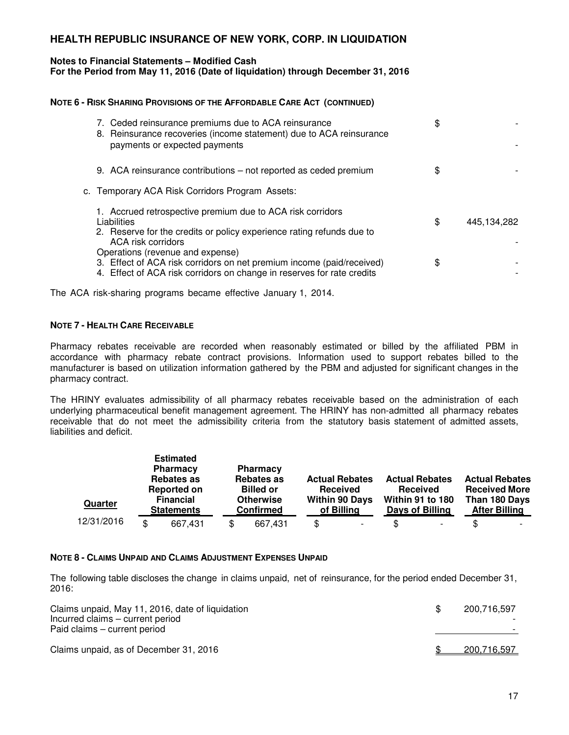#### **Notes to Financial Statements – Modified Cash For the Period from May 11, 2016 (Date of liquidation) through December 31, 2016**

#### **NOTE 6 - RISK SHARING PROVISIONS OF THE AFFORDABLE CARE ACT (CONTINUED)**

| 7. Ceded reinsurance premiums due to ACA reinsurance<br>8. Reinsurance recoveries (income statement) due to ACA reinsurance<br>payments or expected payments                        | \$                |
|-------------------------------------------------------------------------------------------------------------------------------------------------------------------------------------|-------------------|
| 9. ACA reinsurance contributions – not reported as ceded premium                                                                                                                    | \$                |
| c. Temporary ACA Risk Corridors Program Assets:                                                                                                                                     |                   |
| 1. Accrued retrospective premium due to ACA risk corridors<br>Liabilities<br>2. Reserve for the credits or policy experience rating refunds due to<br>ACA risk corridors            | \$<br>445,134,282 |
| Operations (revenue and expense)<br>3. Effect of ACA risk corridors on net premium income (paid/received)<br>4. Effect of ACA risk corridors on change in reserves for rate credits | \$                |

The ACA risk-sharing programs became effective January 1, 2014.

#### **NOTE 7 - HEALTH CARE RECEIVABLE**

Pharmacy rebates receivable are recorded when reasonably estimated or billed by the affiliated PBM in accordance with pharmacy rebate contract provisions. Information used to support rebates billed to the manufacturer is based on utilization information gathered by the PBM and adjusted for significant changes in the pharmacy contract.

The HRINY evaluates admissibility of all pharmacy rebates receivable based on the administration of each underlying pharmaceutical benefit management agreement. The HRINY has non-admitted all pharmacy rebates receivable that do not meet the admissibility criteria from the statutory basis statement of admitted assets, liabilities and deficit.

| 12/31/2016 | 667,431                                                                                      | 667,431                                                                                          |                                                                                 | $\blacksquare$ |                                                                                        |                                                                                        |  |
|------------|----------------------------------------------------------------------------------------------|--------------------------------------------------------------------------------------------------|---------------------------------------------------------------------------------|----------------|----------------------------------------------------------------------------------------|----------------------------------------------------------------------------------------|--|
| Quarter    | Pharmacy<br><b>Rebates as</b><br><b>Reported on</b><br><b>Financial</b><br><b>Statements</b> | <b>Pharmacy</b><br><b>Rebates as</b><br><b>Billed or</b><br><b>Otherwise</b><br><b>Confirmed</b> | <b>Actual Rebates</b><br><b>Received</b><br><b>Within 90 Days</b><br>of Billing |                | <b>Actual Rebates</b><br><b>Received</b><br><b>Within 91 to 180</b><br>Days of Billing | <b>Actual Rebates</b><br><b>Received More</b><br>Than 180 Days<br><b>After Billing</b> |  |
|            | <b>Estimated</b>                                                                             |                                                                                                  |                                                                                 |                |                                                                                        |                                                                                        |  |

#### **NOTE 8 - CLAIMS UNPAID AND CLAIMS ADJUSTMENT EXPENSES UNPAID**

The following table discloses the change in claims unpaid, net of reinsurance, for the period ended December 31, 2016:

| Claims unpaid, May 11, 2016, date of liquidation<br>Incurred claims - current period<br>Paid claims – current period | 200.716.597 |
|----------------------------------------------------------------------------------------------------------------------|-------------|
| Claims unpaid, as of December 31, 2016                                                                               | 200,716,597 |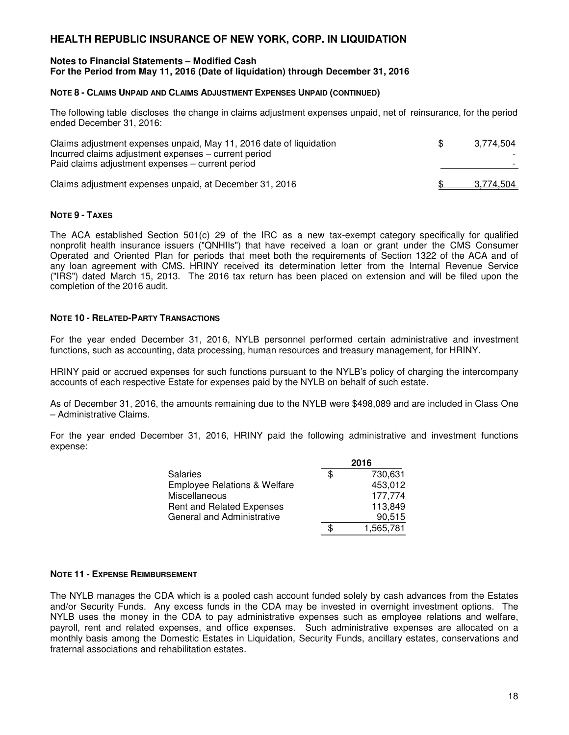#### **Notes to Financial Statements – Modified Cash For the Period from May 11, 2016 (Date of liquidation) through December 31, 2016**

#### **NOTE 8 - CLAIMS UNPAID AND CLAIMS ADJUSTMENT EXPENSES UNPAID (CONTINUED)**

The following table discloses the change in claims adjustment expenses unpaid, net of reinsurance, for the period ended December 31, 2016:

| Claims adjustment expenses unpaid, May 11, 2016 date of liquidation<br>Incurred claims adjustment expenses - current period<br>Paid claims adjustment expenses - current period | 3.774.504 |
|---------------------------------------------------------------------------------------------------------------------------------------------------------------------------------|-----------|
| Claims adjustment expenses unpaid, at December 31, 2016                                                                                                                         | 3.774.504 |

#### **NOTE 9 - TAXES**

The ACA established Section 501(c) 29 of the IRC as a new tax-exempt category specifically for qualified nonprofit health insurance issuers ("QNHIIs") that have received a loan or grant under the CMS Consumer Operated and Oriented Plan for periods that meet both the requirements of Section 1322 of the ACA and of any loan agreement with CMS. HRINY received its determination letter from the Internal Revenue Service ("IRS") dated March 15, 2013. The 2016 tax return has been placed on extension and will be filed upon the completion of the 2016 audit.

#### **NOTE 10 - RELATED-PARTY TRANSACTIONS**

For the year ended December 31, 2016, NYLB personnel performed certain administrative and investment functions, such as accounting, data processing, human resources and treasury management, for HRINY.

HRINY paid or accrued expenses for such functions pursuant to the NYLB's policy of charging the intercompany accounts of each respective Estate for expenses paid by the NYLB on behalf of such estate.

As of December 31, 2016, the amounts remaining due to the NYLB were \$498,089 and are included in Class One – Administrative Claims.

For the year ended December 31, 2016, HRINY paid the following administrative and investment functions expense:

|                                         |    | 2016      |
|-----------------------------------------|----|-----------|
| <b>Salaries</b>                         | \$ | 730,631   |
| <b>Employee Relations &amp; Welfare</b> |    | 453,012   |
| Miscellaneous                           |    | 177.774   |
| Rent and Related Expenses               |    | 113,849   |
| General and Administrative              |    | 90,515    |
|                                         | S  | 1,565,781 |

#### **NOTE 11 - EXPENSE REIMBURSEMENT**

The NYLB manages the CDA which is a pooled cash account funded solely by cash advances from the Estates and/or Security Funds. Any excess funds in the CDA may be invested in overnight investment options. The NYLB uses the money in the CDA to pay administrative expenses such as employee relations and welfare, payroll, rent and related expenses, and office expenses. Such administrative expenses are allocated on a monthly basis among the Domestic Estates in Liquidation, Security Funds, ancillary estates, conservations and fraternal associations and rehabilitation estates.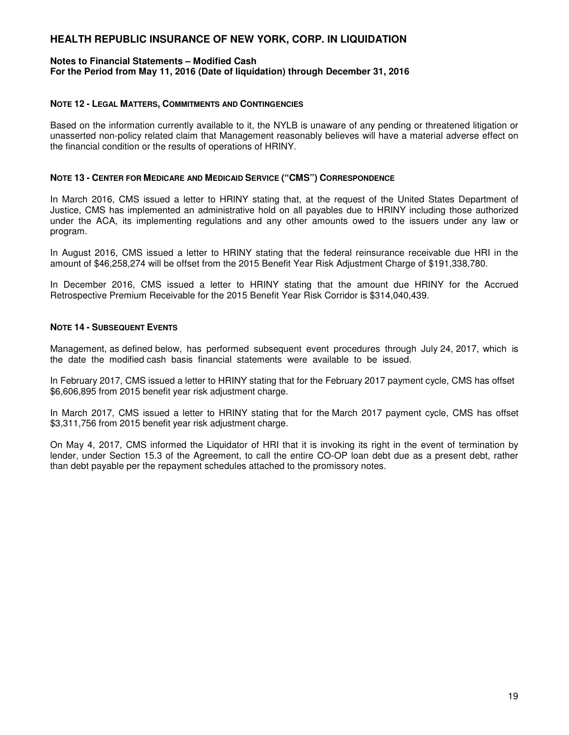#### **Notes to Financial Statements – Modified Cash For the Period from May 11, 2016 (Date of liquidation) through December 31, 2016**

#### **NOTE 12 - LEGAL MATTERS, COMMITMENTS AND CONTINGENCIES**

Based on the information currently available to it, the NYLB is unaware of any pending or threatened litigation or unasserted non-policy related claim that Management reasonably believes will have a material adverse effect on the financial condition or the results of operations of HRINY.

#### **NOTE 13 - CENTER FOR MEDICARE AND MEDICAID SERVICE ("CMS") CORRESPONDENCE**

In March 2016, CMS issued a letter to HRINY stating that, at the request of the United States Department of Justice, CMS has implemented an administrative hold on all payables due to HRINY including those authorized under the ACA, its implementing regulations and any other amounts owed to the issuers under any law or program.

In August 2016, CMS issued a letter to HRINY stating that the federal reinsurance receivable due HRI in the amount of \$46,258,274 will be offset from the 2015 Benefit Year Risk Adjustment Charge of \$191,338,780.

In December 2016, CMS issued a letter to HRINY stating that the amount due HRINY for the Accrued Retrospective Premium Receivable for the 2015 Benefit Year Risk Corridor is \$314,040,439.

#### **NOTE 14 - SUBSEQUENT EVENTS**

Management, as defined below, has performed subsequent event procedures through July 24, 2017, which is the date the modified cash basis financial statements were available to be issued.

In February 2017, CMS issued a letter to HRINY stating that for the February 2017 payment cycle, CMS has offset \$6,606,895 from 2015 benefit year risk adjustment charge.

In March 2017, CMS issued a letter to HRINY stating that for the March 2017 payment cycle, CMS has offset \$3,311,756 from 2015 benefit year risk adjustment charge.

On May 4, 2017, CMS informed the Liquidator of HRI that it is invoking its right in the event of termination by lender, under Section 15.3 of the Agreement, to call the entire CO-OP loan debt due as a present debt, rather than debt payable per the repayment schedules attached to the promissory notes.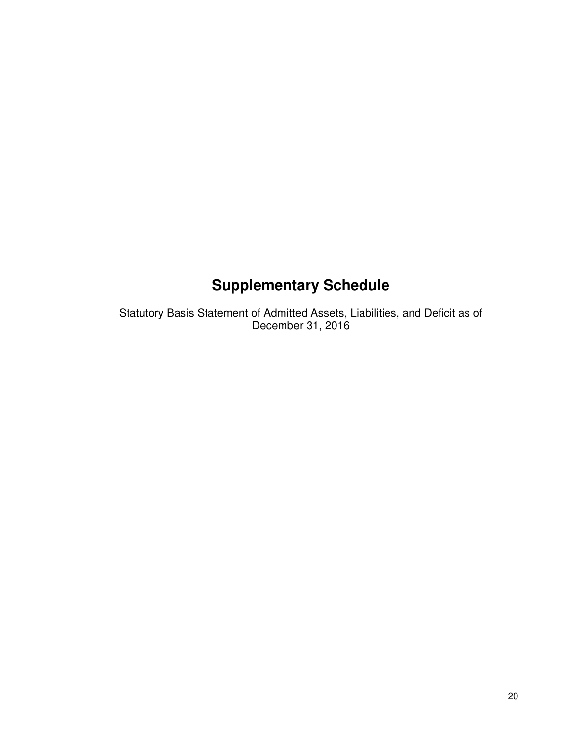# **Supplementary Schedule**

Statutory Basis Statement of Admitted Assets, Liabilities, and Deficit as of December 31, 2016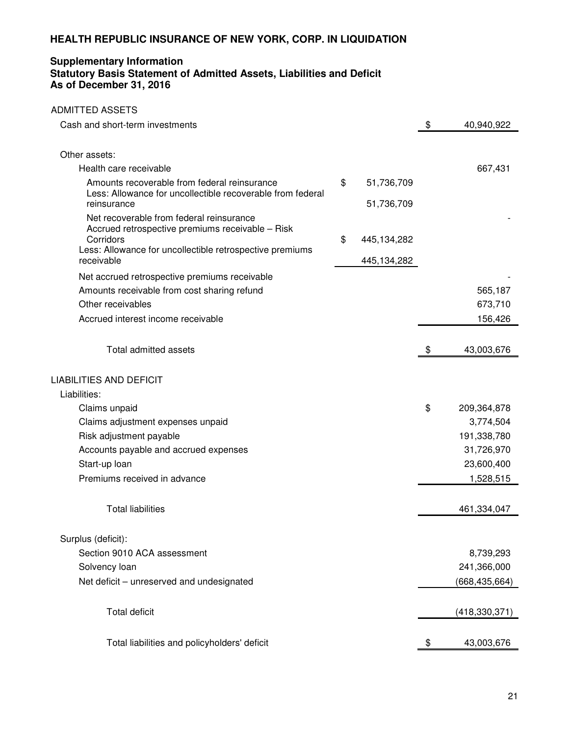## **Supplementary Information Statutory Basis Statement of Admitted Assets, Liabilities and Deficit As of December 31, 2016**

## ADMITTED ASSETS

| Cash and short-term investments                                                                                                                                                     |  |             | \$ | 40,940,922      |
|-------------------------------------------------------------------------------------------------------------------------------------------------------------------------------------|--|-------------|----|-----------------|
|                                                                                                                                                                                     |  |             |    |                 |
| Other assets:                                                                                                                                                                       |  |             |    |                 |
| Health care receivable                                                                                                                                                              |  |             |    | 667,431         |
| Amounts recoverable from federal reinsurance<br>Less: Allowance for uncollectible recoverable from federal<br>reinsurance                                                           |  | 51,736,709  |    |                 |
|                                                                                                                                                                                     |  | 51,736,709  |    |                 |
| Net recoverable from federal reinsurance<br>Accrued retrospective premiums receivable - Risk<br>Corridors<br>Less: Allowance for uncollectible retrospective premiums<br>receivable |  | 445,134,282 |    |                 |
|                                                                                                                                                                                     |  | 445,134,282 |    |                 |
| Net accrued retrospective premiums receivable                                                                                                                                       |  |             |    |                 |
| Amounts receivable from cost sharing refund                                                                                                                                         |  |             |    | 565,187         |
| Other receivables                                                                                                                                                                   |  |             |    | 673,710         |
| Accrued interest income receivable                                                                                                                                                  |  |             |    | 156,426         |
|                                                                                                                                                                                     |  |             |    |                 |
| Total admitted assets                                                                                                                                                               |  |             | \$ | 43,003,676      |
| <b>LIABILITIES AND DEFICIT</b>                                                                                                                                                      |  |             |    |                 |
| Liabilities:                                                                                                                                                                        |  |             |    |                 |
| Claims unpaid                                                                                                                                                                       |  |             | \$ | 209,364,878     |
| Claims adjustment expenses unpaid                                                                                                                                                   |  |             |    | 3,774,504       |
| Risk adjustment payable                                                                                                                                                             |  |             |    | 191,338,780     |
| Accounts payable and accrued expenses                                                                                                                                               |  |             |    | 31,726,970      |
| Start-up loan                                                                                                                                                                       |  |             |    | 23,600,400      |
| Premiums received in advance                                                                                                                                                        |  |             |    | 1,528,515       |
| <b>Total liabilities</b>                                                                                                                                                            |  |             |    | 461,334,047     |
|                                                                                                                                                                                     |  |             |    |                 |
| Surplus (deficit):                                                                                                                                                                  |  |             |    |                 |
| Section 9010 ACA assessment                                                                                                                                                         |  |             |    | 8,739,293       |
| Solvency loan                                                                                                                                                                       |  |             |    | 241,366,000     |
| Net deficit - unreserved and undesignated                                                                                                                                           |  |             |    | (668, 435, 664) |
| <b>Total deficit</b>                                                                                                                                                                |  |             |    | (418, 330, 371) |
| Total liabilities and policyholders' deficit                                                                                                                                        |  |             | \$ | 43,003,676      |
|                                                                                                                                                                                     |  |             |    |                 |